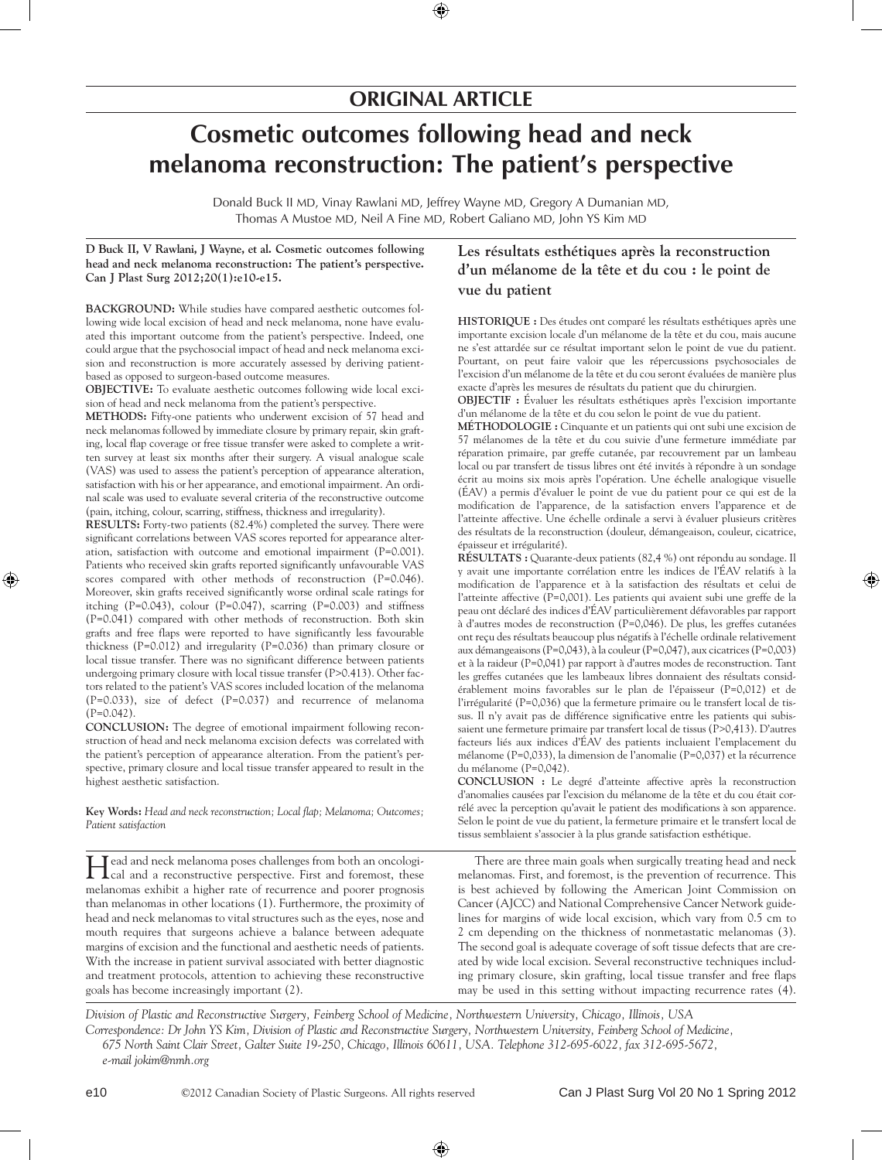## **original arTiCle**

# **Cosmetic outcomes following head and neck melanoma reconstruction: The patient's perspective**

Donald Buck II MD, Vinay Rawlani MD, Jeffrey Wayne MD, Gregory A Dumanian MD, Thomas A Mustoe MD, Neil A Fine MD, Robert Galiano MD, John YS Kim MD

#### **D Buck II, V Rawlani, J Wayne, et al. Cosmetic outcomes following head and neck melanoma reconstruction: The patient's perspective. Can J Plast Surg 2012;20(1):e10-e15.**

**BACKGROUND:** While studies have compared aesthetic outcomes following wide local excision of head and neck melanoma, none have evaluated this important outcome from the patient's perspective. Indeed, one could argue that the psychosocial impact of head and neck melanoma excision and reconstruction is more accurately assessed by deriving patientbased as opposed to surgeon-based outcome measures.

**OBJECTIVE:** To evaluate aesthetic outcomes following wide local excision of head and neck melanoma from the patient's perspective.

**METHODS:** Fifty-one patients who underwent excision of 57 head and neck melanomas followed by immediate closure by primary repair, skin grafting, local flap coverage or free tissue transfer were asked to complete a written survey at least six months after their surgery. A visual analogue scale (VAS) was used to assess the patient's perception of appearance alteration, satisfaction with his or her appearance, and emotional impairment. An ordinal scale was used to evaluate several criteria of the reconstructive outcome (pain, itching, colour, scarring, stiffness, thickness and irregularity).

**RESULTS:** Forty-two patients (82.4%) completed the survey. There were significant correlations between VAS scores reported for appearance alteration, satisfaction with outcome and emotional impairment (P=0.001). Patients who received skin grafts reported significantly unfavourable VAS scores compared with other methods of reconstruction (P=0.046). Moreover, skin grafts received significantly worse ordinal scale ratings for itching (P=0.043), colour (P=0.047), scarring (P=0.003) and stiffness (P=0.041) compared with other methods of reconstruction. Both skin grafts and free flaps were reported to have significantly less favourable thickness (P=0.012) and irregularity (P=0.036) than primary closure or local tissue transfer. There was no significant difference between patients undergoing primary closure with local tissue transfer (P>0.413). Other factors related to the patient's VAS scores included location of the melanoma (P=0.033), size of defect (P=0.037) and recurrence of melanoma (P=0.042).

**CONCLUSION:** The degree of emotional impairment following reconstruction of head and neck melanoma excision defects was correlated with the patient's perception of appearance alteration. From the patient's perspective, primary closure and local tissue transfer appeared to result in the highest aesthetic satisfaction.

**Key Words:** *Head and neck reconstruction; Local flap; Melanoma; Outcomes; Patient satisfaction*

Head and neck melanoma poses challenges from both an oncologi-cal and a reconstructive perspective. First and foremost, these melanomas exhibit a higher rate of recurrence and poorer prognosis than melanomas in other locations (1). Furthermore, the proximity of head and neck melanomas to vital structures such as the eyes, nose and mouth requires that surgeons achieve a balance between adequate margins of excision and the functional and aesthetic needs of patients. With the increase in patient survival associated with better diagnostic and treatment protocols, attention to achieving these reconstructive goals has become increasingly important (2).

### **Les résultats esthétiques après la reconstruction d'un mélanome de la tête et du cou : le point de vue du patient**

**HISTORIQUE :** Des études ont comparé les résultats esthétiques après une importante excision locale d'un mélanome de la tête et du cou, mais aucune ne s'est attardée sur ce résultat important selon le point de vue du patient. Pourtant, on peut faire valoir que les répercussions psychosociales de l'excision d'un mélanome de la tête et du cou seront évaluées de manière plus exacte d'après les mesures de résultats du patient que du chirurgien.

**OBJECTIF :** Évaluer les résultats esthétiques après l'excision importante d'un mélanome de la tête et du cou selon le point de vue du patient.

**MÉTHODOLOGIE :** Cinquante et un patients qui ont subi une excision de 57 mélanomes de la tête et du cou suivie d'une fermeture immédiate par réparation primaire, par greffe cutanée, par recouvrement par un lambeau local ou par transfert de tissus libres ont été invités à répondre à un sondage écrit au moins six mois après l'opération. Une échelle analogique visuelle (ÉAV) a permis d'évaluer le point de vue du patient pour ce qui est de la modification de l'apparence, de la satisfaction envers l'apparence et de l'atteinte affective. Une échelle ordinale a servi à évaluer plusieurs critères des résultats de la reconstruction (douleur, démangeaison, couleur, cicatrice, épaisseur et irrégularité).

**RÉSULTATS :** Quarante-deux patients (82,4 %) ont répondu au sondage. Il y avait une importante corrélation entre les indices de l'ÉAV relatifs à la modification de l'apparence et à la satisfaction des résultats et celui de l'atteinte affective (P=0,001). Les patients qui avaient subi une greffe de la peau ont déclaré des indices d'ÉAV particulièrement défavorables par rapport à d'autres modes de reconstruction (P=0,046). De plus, les greffes cutanées ont reçu des résultats beaucoup plus négatifs à l'échelle ordinale relativement aux démangeaisons (P=0,043), à la couleur (P=0,047), aux cicatrices (P=0,003) et à la raideur (P=0,041) par rapport à d'autres modes de reconstruction. Tant les greffes cutanées que les lambeaux libres donnaient des résultats considérablement moins favorables sur le plan de l'épaisseur (P=0,012) et de l'irrégularité (P=0,036) que la fermeture primaire ou le transfert local de tissus. Il n'y avait pas de différence significative entre les patients qui subissaient une fermeture primaire par transfert local de tissus (P>0,413). D'autres facteurs liés aux indices d'ÉAV des patients incluaient l'emplacement du mélanome (P=0,033), la dimension de l'anomalie (P=0,037) et la récurrence du mélanome (P=0,042).

**CONCLUSION :** Le degré d'atteinte affective après la reconstruction d'anomalies causées par l'excision du mélanome de la tête et du cou était corrélé avec la perception qu'avait le patient des modifications à son apparence. Selon le point de vue du patient, la fermeture primaire et le transfert local de tissus semblaient s'associer à la plus grande satisfaction esthétique.

There are three main goals when surgically treating head and neck melanomas. First, and foremost, is the prevention of recurrence. This is best achieved by following the American Joint Commission on Cancer (AJCC) and National Comprehensive Cancer Network guidelines for margins of wide local excision, which vary from 0.5 cm to 2 cm depending on the thickness of nonmetastatic melanomas (3). The second goal is adequate coverage of soft tissue defects that are created by wide local excision. Several reconstructive techniques including primary closure, skin grafting, local tissue transfer and free flaps may be used in this setting without impacting recurrence rates (4).

*Division of Plastic and Reconstructive Surgery, Feinberg School of Medicine, Northwestern University, Chicago, Illinois, USA Correspondence: Dr John YS Kim, Division of Plastic and Reconstructive Surgery, Northwestern University, Feinberg School of Medicine, 675 North Saint Clair Street, Galter Suite 19-250, Chicago, Illinois 60611, USA. Telephone 312-695-6022, fax 312-695-5672, e-mail jokim@nmh.org*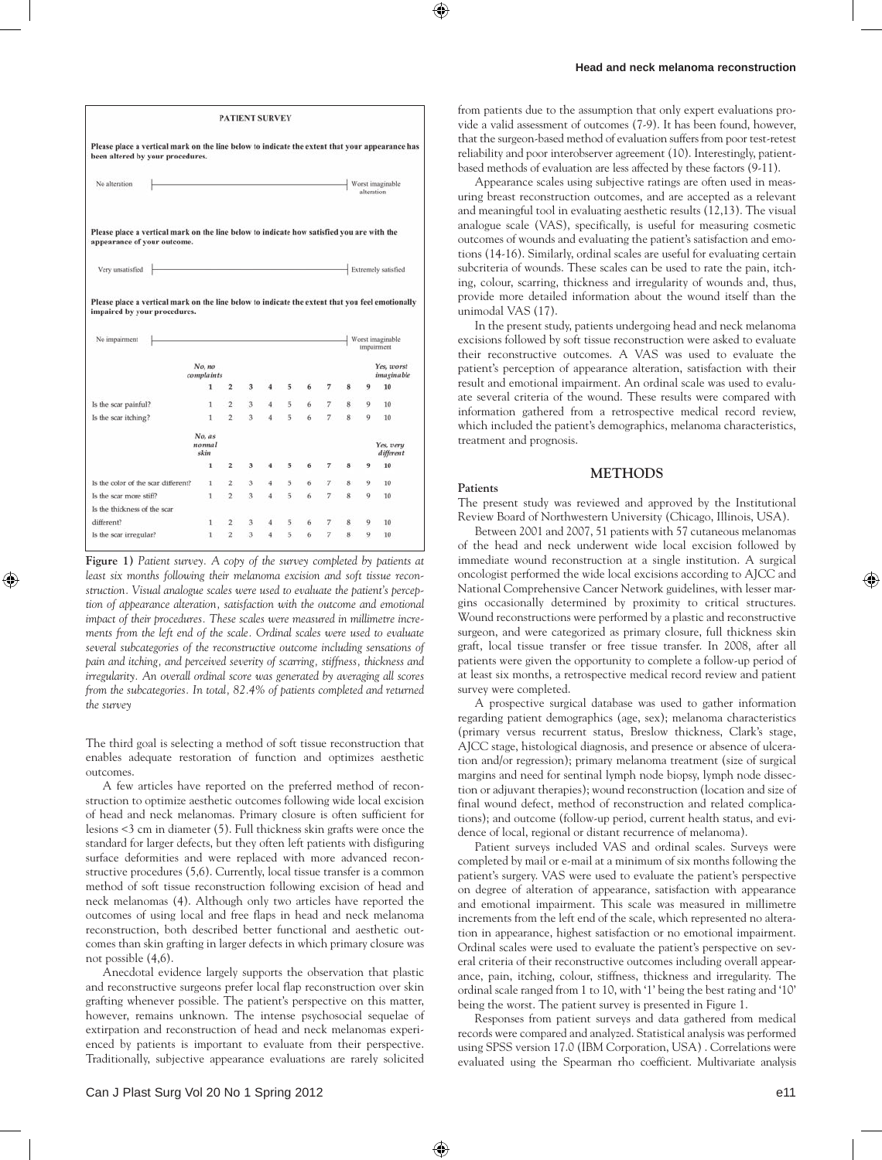|                                                                                                                                                  |                          |                | <b>PATIENT SURVEY</b>   |                |    |   |                |                         |   |                                |
|--------------------------------------------------------------------------------------------------------------------------------------------------|--------------------------|----------------|-------------------------|----------------|----|---|----------------|-------------------------|---|--------------------------------|
| Please place a vertical mark on the line below to indicate the extent that your appearance has<br>been altered by your procedures.               |                          |                |                         |                |    |   |                |                         |   |                                |
| No alteration                                                                                                                                    |                          |                |                         |                |    |   |                |                         |   | Worst imaginable<br>alteration |
| Please place a vertical mark on the line below to indicate how satisfied you are with the<br>appearance of your outcome.                         |                          |                |                         |                |    |   |                |                         |   |                                |
| Very unsatisfied                                                                                                                                 |                          |                |                         |                |    |   |                |                         |   | Extremely satisfied            |
| Please place a vertical mark on the line below to indicate the extent that you feel emotionally<br>impaired by your procedures.<br>No impairment |                          |                |                         |                |    |   |                |                         |   | Worst imaginable<br>impairment |
|                                                                                                                                                  | No, no<br>complaints     |                |                         |                |    |   |                |                         |   | Yes, worst<br>imaginable       |
|                                                                                                                                                  | $\mathbf{1}$             | $\overline{2}$ | 3                       |                | 5. | 6 | 7              | 8                       | 9 | 10                             |
| Is the scar painful?                                                                                                                             | $\mathbf{1}$             | $\overline{2}$ | $\overline{\mathbf{3}}$ | $\overline{4}$ | 5  | 6 | $\overline{7}$ | $\overline{\mathbf{g}}$ | 9 | 10                             |
| Is the scar itching?                                                                                                                             | $\mathbf{1}$             | $\cdot$ 2      | 3                       | 4              | 51 | 6 | $7^{\circ}$    | R.                      | Q | 10                             |
|                                                                                                                                                  | No, as<br>normal<br>skin |                |                         |                |    |   |                |                         |   | Yes, very<br>different         |
|                                                                                                                                                  | $\mathbf{1}$             | $\overline{2}$ | 3                       | $4^{\circ}$    | 5  | 6 | 7              | 8                       | 9 | 10                             |
| Is the color of the scar different?                                                                                                              | $1 -$                    | $\overline{2}$ | 3                       | 4              | 5  | 6 | $7^{\circ}$    | 8                       | 9 | 10                             |
| Is the scar more stiff?                                                                                                                          | 1                        | $\mathfrak{D}$ | 3                       | $\overline{4}$ | 5  | 6 | 7              | g                       | 9 | 10                             |
| Is the thickness of the scar                                                                                                                     |                          |                |                         |                |    |   |                |                         |   |                                |
| different?                                                                                                                                       | $1 -$                    | $\overline{2}$ | $\overline{\mathbf{3}}$ | 4              | 5. | 6 | $\overline{7}$ | g                       | 9 | 10                             |
| Is the scar irregular?                                                                                                                           | $1 \quad 2$              |                | 3                       | $\ddot{4}$     | 5. | 6 | 7              | 8                       | 9 | 10                             |

**Figure 1)** *Patient survey. A copy of the survey completed by patients at least six months following their melanoma excision and soft tissue reconstruction. Visual analogue scales were used to evaluate the patient's percep*tion of appearance alteration, satisfaction with the outcome and emotional *impact of their procedures. These scales were measured in millimetre incre*ments from the left end of the scale. Ordinal scales were used to evaluate *several subcategories of the reconstructive outcome including sensations of pain and itching, and perceived severity of scarring, stiffness, thickness and irregularity. An overall ordinal score was generated by averaging all scores from the subcategories. In total, 82.4% of patients completed and returned the survey*

The third goal is selecting a method of soft tissue reconstruction that enables adequate restoration of function and optimizes aesthetic outcomes.

A few articles have reported on the preferred method of reconstruction to optimize aesthetic outcomes following wide local excision of head and neck melanomas. Primary closure is often sufficient for lesions <3 cm in diameter (5). Full thickness skin grafts were once the standard for larger defects, but they often left patients with disfiguring surface deformities and were replaced with more advanced reconstructive procedures (5,6). Currently, local tissue transfer is a common method of soft tissue reconstruction following excision of head and neck melanomas (4). Although only two articles have reported the outcomes of using local and free flaps in head and neck melanoma reconstruction, both described better functional and aesthetic outcomes than skin grafting in larger defects in which primary closure was not possible (4,6).

Anecdotal evidence largely supports the observation that plastic and reconstructive surgeons prefer local flap reconstruction over skin grafting whenever possible. The patient's perspective on this matter, however, remains unknown. The intense psychosocial sequelae of extirpation and reconstruction of head and neck melanomas experienced by patients is important to evaluate from their perspective. Traditionally, subjective appearance evaluations are rarely solicited from patients due to the assumption that only expert evaluations provide a valid assessment of outcomes (7-9). It has been found, however, that the surgeon-based method of evaluation suffers from poor test-retest reliability and poor interobserver agreement (10). Interestingly, patientbased methods of evaluation are less affected by these factors (9-11).

Appearance scales using subjective ratings are often used in measuring breast reconstruction outcomes, and are accepted as a relevant and meaningful tool in evaluating aesthetic results (12,13). The visual analogue scale (VAS), specifically, is useful for measuring cosmetic outcomes of wounds and evaluating the patient's satisfaction and emotions (14-16). Similarly, ordinal scales are useful for evaluating certain subcriteria of wounds. These scales can be used to rate the pain, itching, colour, scarring, thickness and irregularity of wounds and, thus, provide more detailed information about the wound itself than the unimodal VAS (17).

In the present study, patients undergoing head and neck melanoma excisions followed by soft tissue reconstruction were asked to evaluate their reconstructive outcomes. A VAS was used to evaluate the patient's perception of appearance alteration, satisfaction with their result and emotional impairment. An ordinal scale was used to evaluate several criteria of the wound. These results were compared with information gathered from a retrospective medical record review, which included the patient's demographics, melanoma characteristics, treatment and prognosis.

#### **METHODS**

#### **Patients**

The present study was reviewed and approved by the Institutional Review Board of Northwestern University (Chicago, Illinois, USA).

Between 2001 and 2007, 51 patients with 57 cutaneous melanomas of the head and neck underwent wide local excision followed by immediate wound reconstruction at a single institution. A surgical oncologist performed the wide local excisions according to AJCC and National Comprehensive Cancer Network guidelines, with lesser margins occasionally determined by proximity to critical structures. Wound reconstructions were performed by a plastic and reconstructive surgeon, and were categorized as primary closure, full thickness skin graft, local tissue transfer or free tissue transfer. In 2008, after all patients were given the opportunity to complete a follow-up period of at least six months, a retrospective medical record review and patient survey were completed.

A prospective surgical database was used to gather information regarding patient demographics (age, sex); melanoma characteristics (primary versus recurrent status, Breslow thickness, Clark's stage, AJCC stage, histological diagnosis, and presence or absence of ulceration and/or regression); primary melanoma treatment (size of surgical margins and need for sentinal lymph node biopsy, lymph node dissection or adjuvant therapies); wound reconstruction (location and size of final wound defect, method of reconstruction and related complications); and outcome (follow-up period, current health status, and evidence of local, regional or distant recurrence of melanoma).

Patient surveys included VAS and ordinal scales. Surveys were completed by mail or e-mail at a minimum of six months following the patient's surgery. VAS were used to evaluate the patient's perspective on degree of alteration of appearance, satisfaction with appearance and emotional impairment. This scale was measured in millimetre increments from the left end of the scale, which represented no alteration in appearance, highest satisfaction or no emotional impairment. Ordinal scales were used to evaluate the patient's perspective on several criteria of their reconstructive outcomes including overall appearance, pain, itching, colour, stiffness, thickness and irregularity. The ordinal scale ranged from 1 to 10, with '1' being the best rating and '10' being the worst. The patient survey is presented in Figure 1.

Responses from patient surveys and data gathered from medical records were compared and analyzed. Statistical analysis was performed using SPSS version 17.0 (IBM Corporation, USA) . Correlations were evaluated using the Spearman rho coefficient. Multivariate analysis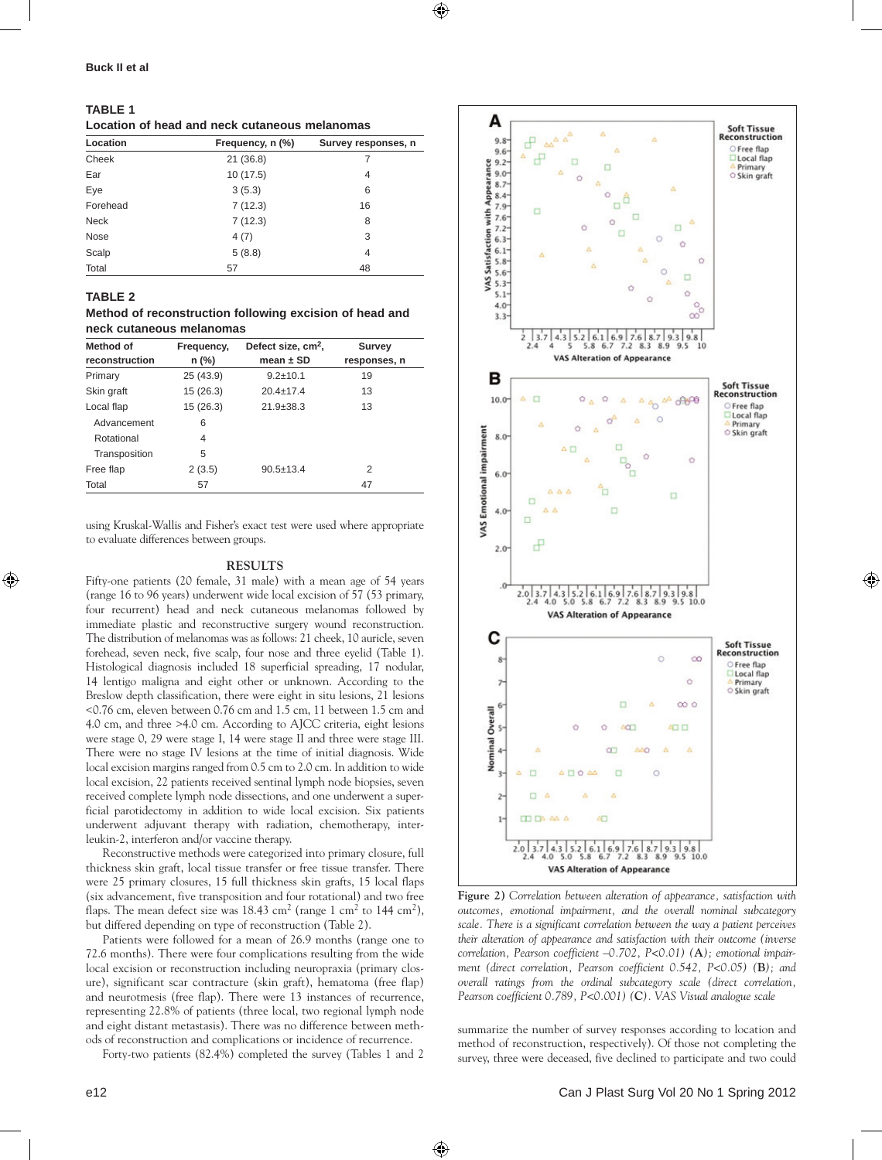#### **TaBle 1**

**location of head and neck cutaneous melanomas**

| EVVANVII VI IIVAM ANM NUVIL VAIMIIVVAU IIIVIMIIVIIIMV |                  |                     |  |  |  |  |
|-------------------------------------------------------|------------------|---------------------|--|--|--|--|
| Location                                              | Frequency, n (%) | Survey responses, n |  |  |  |  |
| Cheek                                                 | 21(36.8)         | 7                   |  |  |  |  |
| Ear                                                   | 10 (17.5)        | 4                   |  |  |  |  |
| Eye                                                   | 3(5.3)           | 6                   |  |  |  |  |
| Forehead                                              | 7(12.3)          | 16                  |  |  |  |  |
| <b>Neck</b>                                           | 7(12.3)          | 8                   |  |  |  |  |
| Nose                                                  | 4(7)             | 3                   |  |  |  |  |
| Scalp                                                 | 5(8.8)           | 4                   |  |  |  |  |
| Total                                                 | 57               | 48                  |  |  |  |  |

#### **TaBle 2**

**Method of reconstruction following excision of head and neck cutaneous melanomas**

| <b>Method of</b><br>reconstruction | Frequency,<br>$n$ (%) | Defect size, cm <sup>2</sup> ,<br>mean $\pm$ SD | Survey<br>responses, n |
|------------------------------------|-----------------------|-------------------------------------------------|------------------------|
| Primary                            | 25 (43.9)             | $9.2 + 10.1$                                    | 19                     |
| Skin graft                         | 15(26.3)              | $20.4 \pm 17.4$                                 | 13                     |
| Local flap                         | 15(26.3)              | $21.9 \pm 38.3$                                 | 13                     |
| Advancement                        | 6                     |                                                 |                        |
| Rotational                         | 4                     |                                                 |                        |
| Transposition                      | 5                     |                                                 |                        |
| Free flap                          | 2(3.5)                | $90.5 \pm 13.4$                                 | 2                      |
| Total                              | 57                    |                                                 | 47                     |

using Kruskal-Wallis and Fisher's exact test were used where appropriate to evaluate differences between groups.

#### **RESULTS**

Fifty-one patients (20 female, 31 male) with a mean age of 54 years (range 16 to 96 years) underwent wide local excision of 57 (53 primary, four recurrent) head and neck cutaneous melanomas followed by immediate plastic and reconstructive surgery wound reconstruction. The distribution of melanomas was as follows: 21 cheek, 10 auricle, seven forehead, seven neck, five scalp, four nose and three eyelid (Table 1). Histological diagnosis included 18 superficial spreading, 17 nodular, 14 lentigo maligna and eight other or unknown. According to the Breslow depth classification, there were eight in situ lesions, 21 lesions <0.76 cm, eleven between 0.76 cm and 1.5 cm, 11 between 1.5 cm and 4.0 cm, and three >4.0 cm. According to AJCC criteria, eight lesions were stage 0, 29 were stage I, 14 were stage II and three were stage III. There were no stage IV lesions at the time of initial diagnosis. Wide local excision margins ranged from 0.5 cm to 2.0 cm. In addition to wide local excision, 22 patients received sentinal lymph node biopsies, seven received complete lymph node dissections, and one underwent a superficial parotidectomy in addition to wide local excision. Six patients underwent adjuvant therapy with radiation, chemotherapy, interleukin-2, interferon and/or vaccine therapy.

Reconstructive methods were categorized into primary closure, full thickness skin graft, local tissue transfer or free tissue transfer. There were 25 primary closures, 15 full thickness skin grafts, 15 local flaps (six advancement, five transposition and four rotational) and two free flaps. The mean defect size was  $18.43 \text{ cm}^2$  (range 1 cm<sup>2</sup> to 144 cm<sup>2</sup>), but differed depending on type of reconstruction (Table 2).

Patients were followed for a mean of 26.9 months (range one to 72.6 months). There were four complications resulting from the wide local excision or reconstruction including neuropraxia (primary closure), significant scar contracture (skin graft), hematoma (free flap) and neurotmesis (free flap). There were 13 instances of recurrence, representing 22.8% of patients (three local, two regional lymph node and eight distant metastasis). There was no difference between methods of reconstruction and complications or incidence of recurrence.

Forty-two patients (82.4%) completed the survey (Tables 1 and 2



**Figure 2)** *Correlation between alteration of appearance, satisfaction with outcomes, emotional impairment, and the overall nominal subcategory scale. There is a significant correlation between the way a patient perceives their alteration of appearance and satisfaction with their outcome (inverse correlation, Pearson coefficient –0.702, P<0.01) (***A***); emotional impairment (direct correlation, Pearson coefficient 0.542, P<0.05) (***B***); and overall ratings from the ordinal subcategory scale (direct correlation, Pearson coefficient 0.789, P<0.001) (***C***). VAS Visual analogue scale*

summarize the number of survey responses according to location and method of reconstruction, respectively). Of those not completing the survey, three were deceased, five declined to participate and two could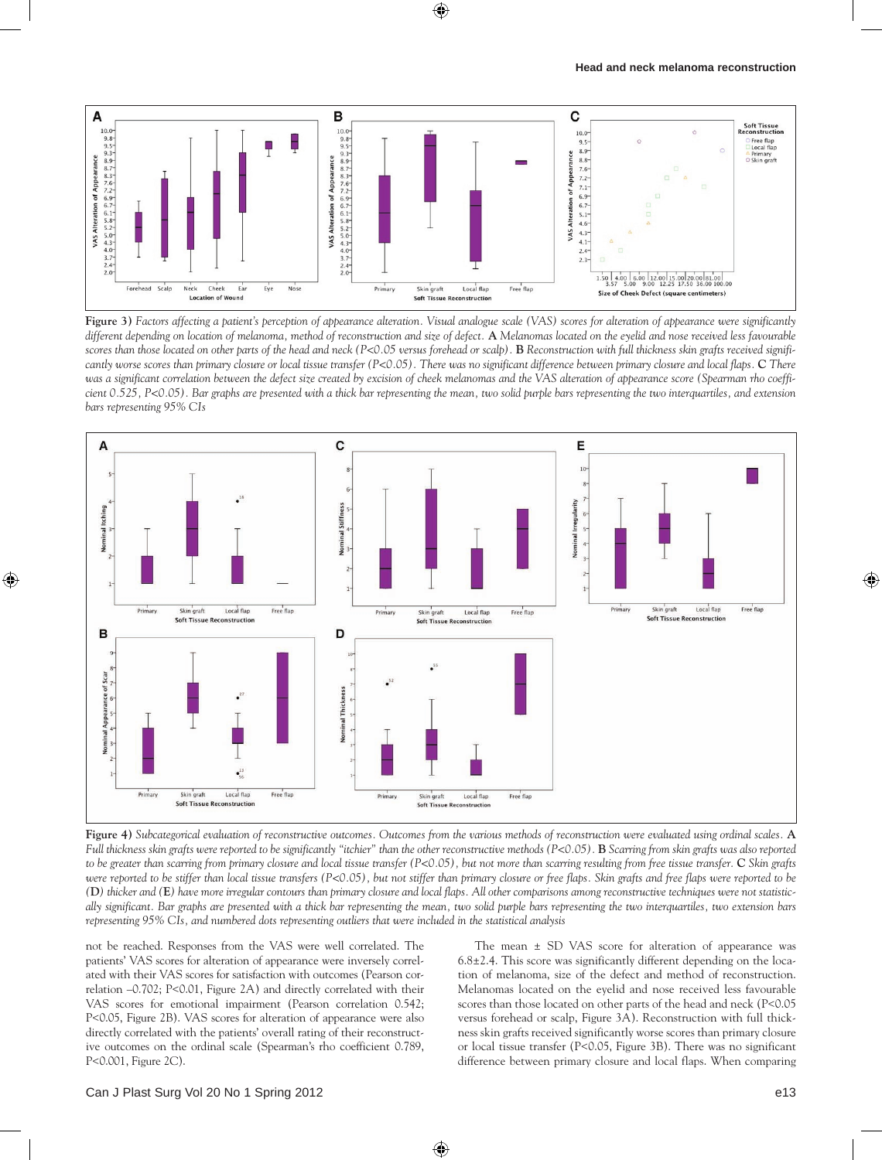

**Figure 3)** *Factors affecting a patient's perception of appearance alteration. Visual analogue scale (VAS) scores for alteration of appearance were significantly different depending on location of melanoma, method of reconstruction and size of defect.* **A** *Melanomas located on the eyelid and nose received less favourable*  scores than those located on other parts of the head and neck (P<0.05 versus forehead or scalp). **B** Reconstruction with full thickness skin grafts received signifi*cantly worse scores than primary closure or local tissue transfer (P<0.05). There was no significant difference between primary closure and local flaps.* **C** *There*  was a significant correlation between the defect size created by excision of cheek melanomas and the VAS alteration of appearance score (Spearman rho coeffi*cient 0.525, P<0.05). Bar graphs are presented with a thick bar representing the mean, two solid purple bars representing the two interquartiles, and extension bars representing 95% CIs*



**Figure 4)** *Subcategorical evaluation of reconstructive outcomes. Outcomes from the various methods of reconstruction were evaluated using ordinal scales.* **A** *Full thickness skin grafts were reported to be significantly "itchier" than the other reconstructive methods (P<0.05). B <i>Scarring from skin grafts was also reported to be greater than scarring from primary closure and local tissue transfer (P<0.05), but not more than scarring resulting from free tissue transfer.* **C** *Skin grafts were reported to be stiffer than local tissue transfers (P<0.05), but not stiffer than primary closure or free flaps. Skin grafts and free flaps were reported to be (***D***) thicker and (***E***) have more irregular contours than primary closure and local flaps. All other comparisons among reconstructive techniques were not statistically significant. Bar graphs are presented with a thick bar representing the mean, two solid purple bars representing the two interquartiles, two extension bars representing 95% CIs, and numbered dots representing outliers that were included in the statistical analysis*

not be reached. Responses from the VAS were well correlated. The patients' VAS scores for alteration of appearance were inversely correlated with their VAS scores for satisfaction with outcomes (Pearson correlation –0.702; P<0.01, Figure 2A) and directly correlated with their VAS scores for emotional impairment (Pearson correlation 0.542; P<0.05, Figure 2B). VAS scores for alteration of appearance were also directly correlated with the patients' overall rating of their reconstructive outcomes on the ordinal scale (Spearman's rho coefficient 0.789, P<0.001, Figure 2C).

The mean  $\pm$  SD VAS score for alteration of appearance was 6.8±2.4. This score was significantly different depending on the location of melanoma, size of the defect and method of reconstruction. Melanomas located on the eyelid and nose received less favourable scores than those located on other parts of the head and neck (P<0.05 versus forehead or scalp, Figure 3A). Reconstruction with full thickness skin grafts received significantly worse scores than primary closure or local tissue transfer (P<0.05, Figure 3B). There was no significant difference between primary closure and local flaps. When comparing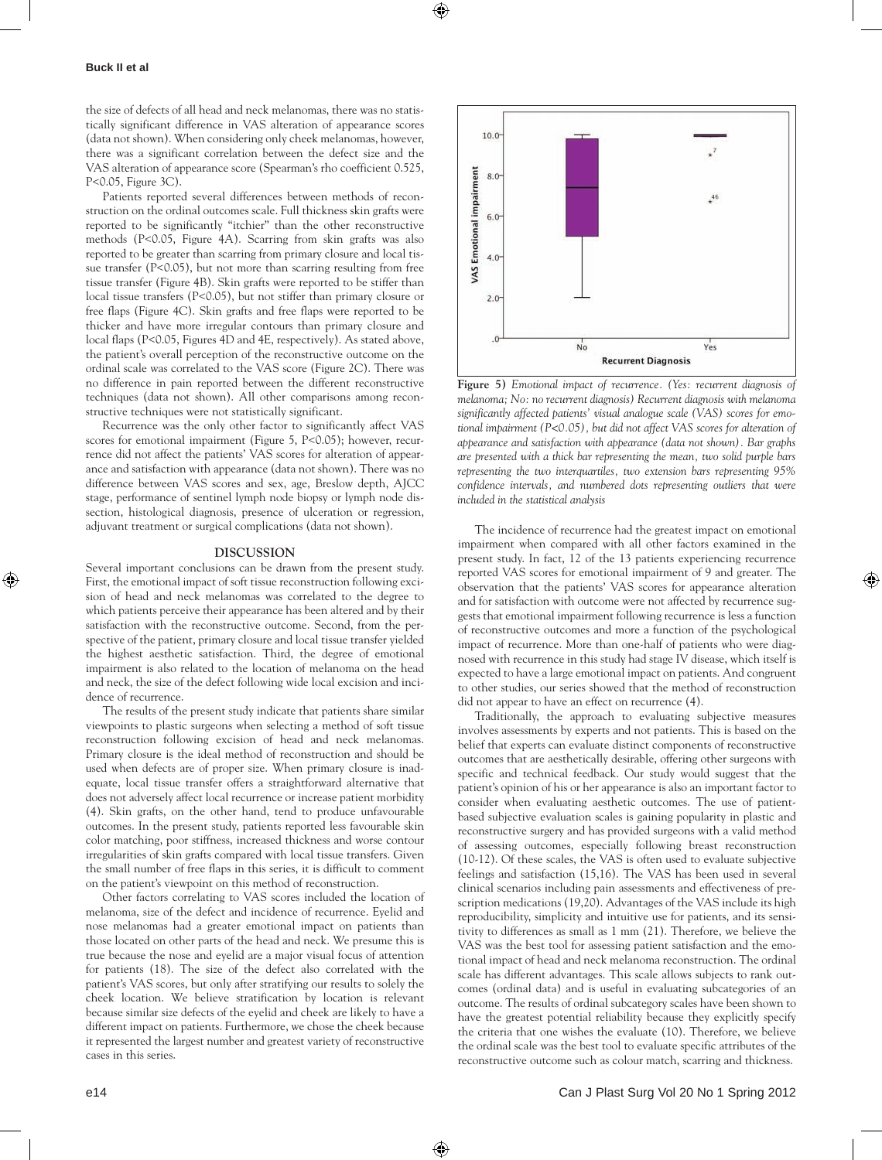the size of defects of all head and neck melanomas, there was no statistically significant difference in VAS alteration of appearance scores (data not shown). When considering only cheek melanomas, however, there was a significant correlation between the defect size and the VAS alteration of appearance score (Spearman's rho coefficient 0.525, P<0.05, Figure 3C).

Patients reported several differences between methods of reconstruction on the ordinal outcomes scale. Full thickness skin grafts were reported to be significantly "itchier" than the other reconstructive methods (P<0.05, Figure 4A). Scarring from skin grafts was also reported to be greater than scarring from primary closure and local tissue transfer (P<0.05), but not more than scarring resulting from free tissue transfer (Figure 4B). Skin grafts were reported to be stiffer than local tissue transfers (P<0.05), but not stiffer than primary closure or free flaps (Figure 4C). Skin grafts and free flaps were reported to be thicker and have more irregular contours than primary closure and local flaps (P<0.05, Figures 4D and 4E, respectively). As stated above, the patient's overall perception of the reconstructive outcome on the ordinal scale was correlated to the VAS score (Figure 2C). There was no difference in pain reported between the different reconstructive techniques (data not shown). All other comparisons among reconstructive techniques were not statistically significant.

Recurrence was the only other factor to significantly affect VAS scores for emotional impairment (Figure 5, P<0.05); however, recurrence did not affect the patients' VAS scores for alteration of appearance and satisfaction with appearance (data not shown). There was no difference between VAS scores and sex, age, Breslow depth, AJCC stage, performance of sentinel lymph node biopsy or lymph node dissection, histological diagnosis, presence of ulceration or regression, adjuvant treatment or surgical complications (data not shown).

#### **DISCUSSION**

Several important conclusions can be drawn from the present study. First, the emotional impact of soft tissue reconstruction following excision of head and neck melanomas was correlated to the degree to which patients perceive their appearance has been altered and by their satisfaction with the reconstructive outcome. Second, from the perspective of the patient, primary closure and local tissue transfer yielded the highest aesthetic satisfaction. Third, the degree of emotional impairment is also related to the location of melanoma on the head and neck, the size of the defect following wide local excision and incidence of recurrence.

The results of the present study indicate that patients share similar viewpoints to plastic surgeons when selecting a method of soft tissue reconstruction following excision of head and neck melanomas. Primary closure is the ideal method of reconstruction and should be used when defects are of proper size. When primary closure is inadequate, local tissue transfer offers a straightforward alternative that does not adversely affect local recurrence or increase patient morbidity (4). Skin grafts, on the other hand, tend to produce unfavourable outcomes. In the present study, patients reported less favourable skin color matching, poor stiffness, increased thickness and worse contour irregularities of skin grafts compared with local tissue transfers. Given the small number of free flaps in this series, it is difficult to comment on the patient's viewpoint on this method of reconstruction.

Other factors correlating to VAS scores included the location of melanoma, size of the defect and incidence of recurrence. Eyelid and nose melanomas had a greater emotional impact on patients than those located on other parts of the head and neck. We presume this is true because the nose and eyelid are a major visual focus of attention for patients (18). The size of the defect also correlated with the patient's VAS scores, but only after stratifying our results to solely the cheek location. We believe stratification by location is relevant because similar size defects of the eyelid and cheek are likely to have a different impact on patients. Furthermore, we chose the cheek because it represented the largest number and greatest variety of reconstructive cases in this series.



**Figure 5)** *Emotional impact of recurrence. (Yes: recurrent diagnosis of melanoma; No: no recurrent diagnosis) Recurrent diagnosis with melanoma significantly affected patients' visual analogue scale (VAS) scores for emotional impairment (P<0.05), but did not affect VAS scores for alteration of appearance and satisfaction with appearance (data not shown). Bar graphs are presented with a thick bar representing the mean, two solid purple bars representing the two interquartiles, two extension bars representing 95% confidence intervals, and numbered dots representing outliers that were included in the statistical analysis*

The incidence of recurrence had the greatest impact on emotional impairment when compared with all other factors examined in the present study. In fact, 12 of the 13 patients experiencing recurrence reported VAS scores for emotional impairment of 9 and greater. The observation that the patients' VAS scores for appearance alteration and for satisfaction with outcome were not affected by recurrence suggests that emotional impairment following recurrence is less a function of reconstructive outcomes and more a function of the psychological impact of recurrence. More than one-half of patients who were diagnosed with recurrence in this study had stage IV disease, which itself is expected to have a large emotional impact on patients. And congruent to other studies, our series showed that the method of reconstruction did not appear to have an effect on recurrence (4).

Traditionally, the approach to evaluating subjective measures involves assessments by experts and not patients. This is based on the belief that experts can evaluate distinct components of reconstructive outcomes that are aesthetically desirable, offering other surgeons with specific and technical feedback. Our study would suggest that the patient's opinion of his or her appearance is also an important factor to consider when evaluating aesthetic outcomes. The use of patientbased subjective evaluation scales is gaining popularity in plastic and reconstructive surgery and has provided surgeons with a valid method of assessing outcomes, especially following breast reconstruction (10-12). Of these scales, the VAS is often used to evaluate subjective feelings and satisfaction (15,16). The VAS has been used in several clinical scenarios including pain assessments and effectiveness of prescription medications (19,20). Advantages of the VAS include its high reproducibility, simplicity and intuitive use for patients, and its sensitivity to differences as small as 1 mm (21). Therefore, we believe the VAS was the best tool for assessing patient satisfaction and the emotional impact of head and neck melanoma reconstruction. The ordinal scale has different advantages. This scale allows subjects to rank outcomes (ordinal data) and is useful in evaluating subcategories of an outcome. The results of ordinal subcategory scales have been shown to have the greatest potential reliability because they explicitly specify the criteria that one wishes the evaluate (10). Therefore, we believe the ordinal scale was the best tool to evaluate specific attributes of the reconstructive outcome such as colour match, scarring and thickness.